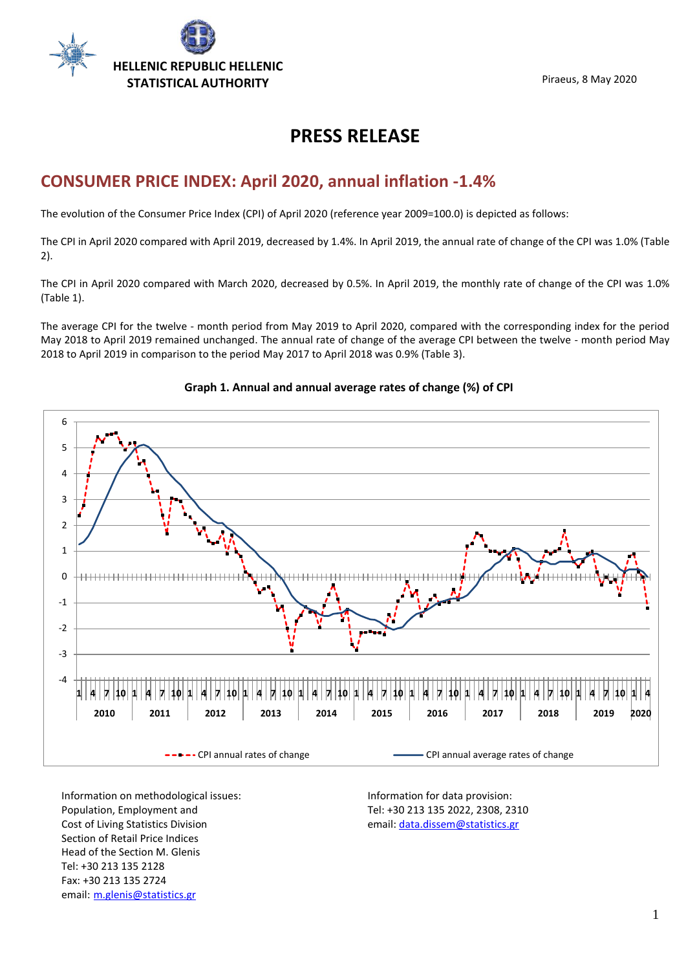

Piraeus, 8 May 2020

# **PRESS RELEASE**

## **CONSUMER PRICE INDEX: April 2020, annual inflation -1.4%**

The evolution of the Consumer Price Index (CPI) of April 2020 (reference year 2009=100.0) is depicted as follows:

The CPI in April 2020 compared with April 2019, decreased by 1.4%. In April 2019, the annual rate of change of the CPI was 1.0% (Table 2).

The CPI in April 2020 compared with March 2020, decreased by 0.5%. In April 2019, the monthly rate of change of the CPI was 1.0% (Table 1).

The average CPI for the twelve - month period from May 2019 to April 2020, compared with the corresponding index for the period May 2018 to April 2019 remained unchanged. The annual rate of change of the average CPI between the twelve - month period May 2018 to April 2019 in comparison to the period May 2017 to April 2018 was 0.9% (Table 3).



### **Graph 1. Annual and annual average rates of change (%) of CPI**

Information on methodological issues: Population, Employment and Cost of Living Statistics Division Section of Retail Price Indices Head of the Section M. Glenis Tel: +30 213 135 2128 Fax: +30 213 135 2724 email: [m.glenis@statistics.gr](mailto:m.glenis@statistics.gr) 

Information for data provision: Tel: +30 213 135 2022, 2308, 2310 email[: data.dissem@statistics.gr](mailto:data.dissem@statistics.gr)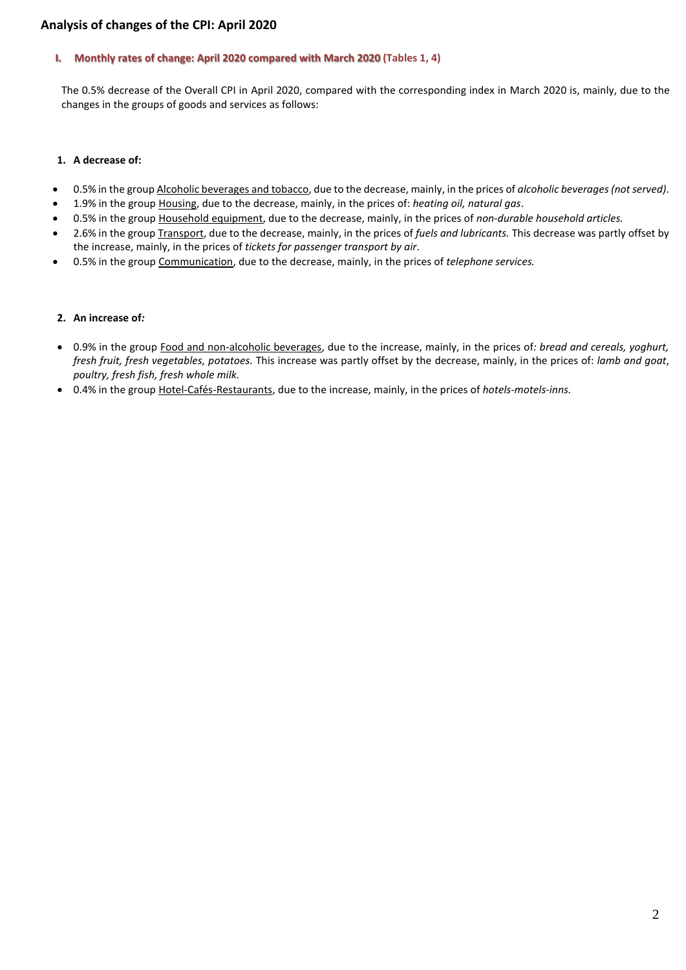### **Analysis of changes of the CPI: April 2020**

#### **I. Monthly rates of change: April 2020 compared with March 2020 (Tables 1, 4)**

The 0.5% decrease of the Overall CPI in April 2020, compared with the corresponding index in March 2020 is, mainly, due to the changes in the groups of goods and services as follows:

### **1. A decrease of:**

- 0.5% in the group Alcoholic beverages and tobacco, due to the decrease, mainly, in the prices of *alcoholic beverages (not served)*.
- 1.9% in the group Housing, due to the decrease, mainly, in the prices of: *heating oil, natural gas*.
- 0.5% in the group Household equipment, due to the decrease, mainly, in the prices of *non-durable household articles.*
- 2.6% in the group Transport, due to the decrease, mainly, in the prices of *fuels and lubricants.* This decrease was partly offset by the increase, mainly, in the prices of *tickets for passenger transport by air*.
- 0.5% in the group Communication, due to the decrease, mainly, in the prices of *telephone services.*

#### **2. An increase of***:*

- 0.9% in the group Food and non-alcoholic beverages, due to the increase, mainly, in the prices of*: bread and cereals, yoghurt, fresh fruit, fresh vegetables, potatoes.* This increase was partly offset by the decrease, mainly, in the prices of: *lamb and goat*, *poultry, fresh fish, fresh whole milk.*
- 0.4% in the group Hotel-Cafés-Restaurants, due to the increase, mainly, in the prices of *hotels-motels-inns.*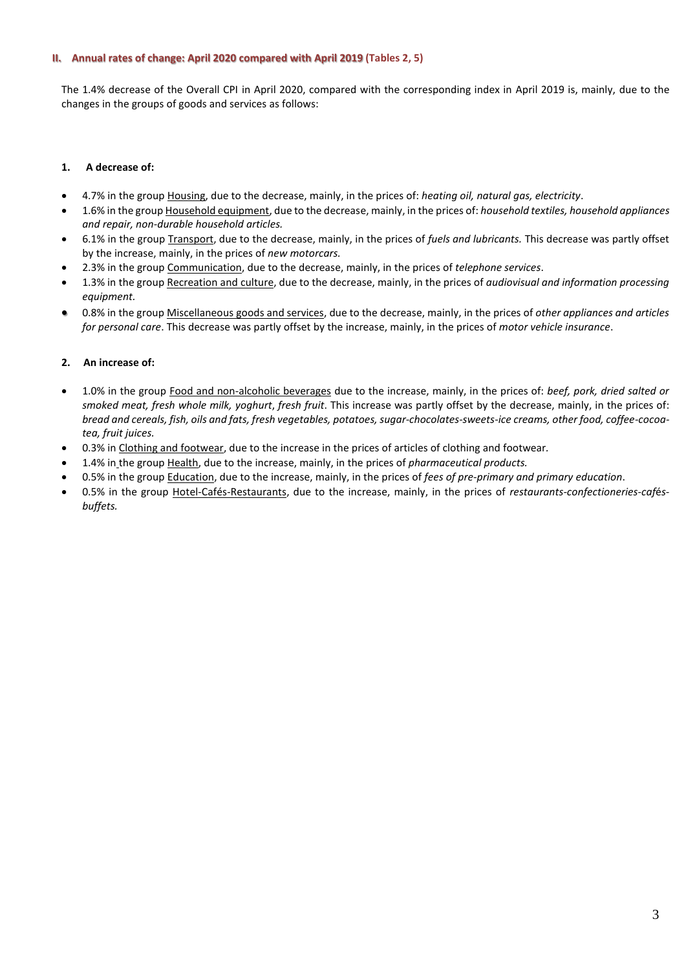#### **II. Annual rates of change: April 2020 compared with April 2019 (Tables 2, 5)**

The 1.4% decrease of the Overall CPI in April 2020, compared with the corresponding index in April 2019 is, mainly, due to the changes in the groups of goods and services as follows:

### **1. A decrease of:**

- 4.7% in the group Housing, due to the decrease, mainly, in the prices of: *heating oil, natural gas, electricity*.
- 1.6% in the group Household equipment, due to the decrease, mainly, in the prices of: *household textiles, household appliances and repair, non-durable household articles.*
- 6.1% in the group Transport, due to the decrease, mainly, in the prices of *fuels and lubricants.* This decrease was partly offset by the increase, mainly, in the prices of *new motorcars.*
- 2.3% in the group Communication, due to the decrease, mainly, in the prices of *telephone services*.
- 1.3% in the group Recreation and culture, due to the decrease, mainly, in the prices of *audiovisual and information processing equipment.*
- 0.8% in the group Miscellaneous goods and services, due to the decrease, mainly, in the prices of *other appliances and articles for personal care*. This decrease was partly offset by the increase, mainly, in the prices of *motor vehicle insurance*.

### **2. An increase of:**

- 1.0% in the group Food and non-alcoholic beverages due to the increase, mainly, in the prices of: *beef, pork, dried salted or smoked meat, fresh whole milk, yoghurt*, *fresh fruit*. This increase was partly offset by the decrease, mainly, in the prices of: *bread and cereals, fish, oils and fats, fresh vegetables, potatoes, sugar-chocolates-sweets-ice creams, other food, coffee-cocoatea, fruit juices.*
- 0.3% in Clothing and footwear, due to the increase in the prices of articles of clothing and footwear*.*
- 1.4% in the group Health, due to the increase, mainly, in the prices of *pharmaceutical products.*
- 0.5% in the group Education, due to the increase, mainly, in the prices of *fees of pre-primary and primary education*.
- 0.5% in the group Hotel-Cafés-Restaurants, due to the increase, mainly, in the prices of *restaurants-confectioneries-caf*é*sbuffets.*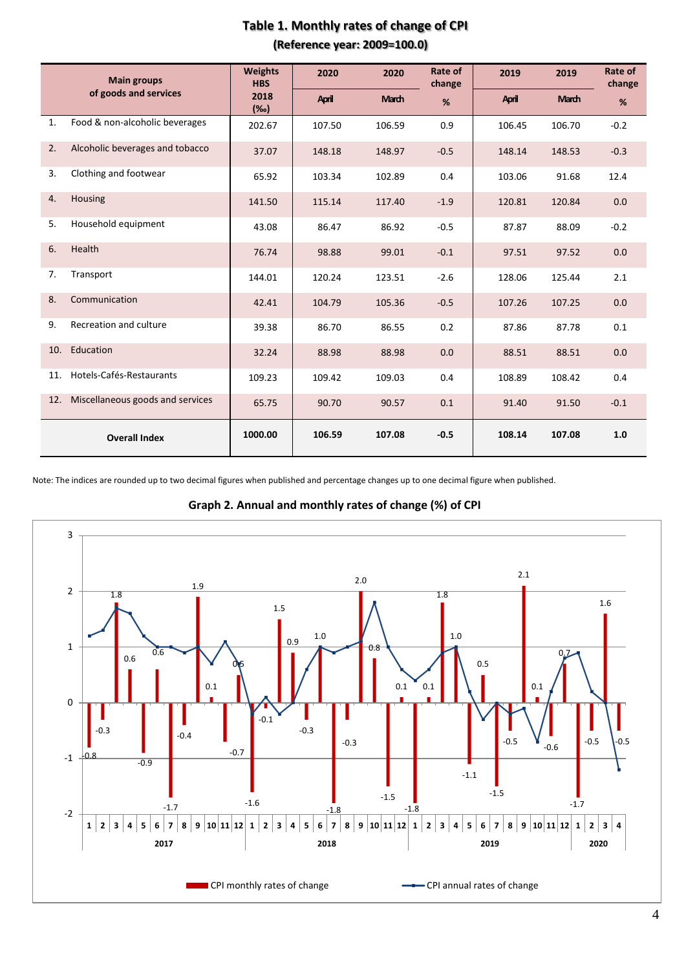|                       | <b>Main groups</b>               | <b>Weights</b><br><b>HBS</b> | 2020   | 2020         | Rate of<br>change | 2019   | 2019         | Rate of<br>change |
|-----------------------|----------------------------------|------------------------------|--------|--------------|-------------------|--------|--------------|-------------------|
| of goods and services |                                  | 2018<br>(%o)                 | April  | <b>March</b> | %                 | April  | <b>March</b> | %                 |
| 1.                    | Food & non-alcoholic beverages   | 202.67                       | 107.50 | 106.59       | 0.9               | 106.45 | 106.70       | $-0.2$            |
| 2.                    | Alcoholic beverages and tobacco  | 37.07                        | 148.18 | 148.97       | $-0.5$            | 148.14 | 148.53       | $-0.3$            |
| 3.                    | Clothing and footwear            | 65.92                        | 103.34 | 102.89       | 0.4               | 103.06 | 91.68        | 12.4              |
| 4.                    | Housing                          | 141.50                       | 115.14 | 117.40       | $-1.9$            | 120.81 | 120.84       | 0.0               |
| 5.                    | Household equipment              | 43.08                        | 86.47  | 86.92        | $-0.5$            | 87.87  | 88.09        | $-0.2$            |
| 6.                    | Health                           | 76.74                        | 98.88  | 99.01        | $-0.1$            | 97.51  | 97.52        | 0.0               |
| 7.                    | Transport                        | 144.01                       | 120.24 | 123.51       | $-2.6$            | 128.06 | 125.44       | 2.1               |
| 8.                    | Communication                    | 42.41                        | 104.79 | 105.36       | $-0.5$            | 107.26 | 107.25       | 0.0               |
| 9.                    | Recreation and culture           | 39.38                        | 86.70  | 86.55        | 0.2               | 87.86  | 87.78        | 0.1               |
| 10.                   | Education                        | 32.24                        | 88.98  | 88.98        | 0.0               | 88.51  | 88.51        | 0.0               |
| 11.                   | Hotels-Cafés-Restaurants         | 109.23                       | 109.42 | 109.03       | 0.4               | 108.89 | 108.42       | 0.4               |
| 12.                   | Miscellaneous goods and services | 65.75                        | 90.70  | 90.57        | 0.1               | 91.40  | 91.50        | $-0.1$            |
|                       | <b>Overall Index</b>             | 1000.00                      | 106.59 | 107.08       | $-0.5$            | 108.14 | 107.08       | 1.0               |

### **Table 1. Monthly rates of change of CPI (Reference year: 2009=100.0)**

Note: The indices are rounded up to two decimal figures when published and percentage changes up to one decimal figure when published.

**Graph 2. Annual and monthly rates of change (%) of CPI**

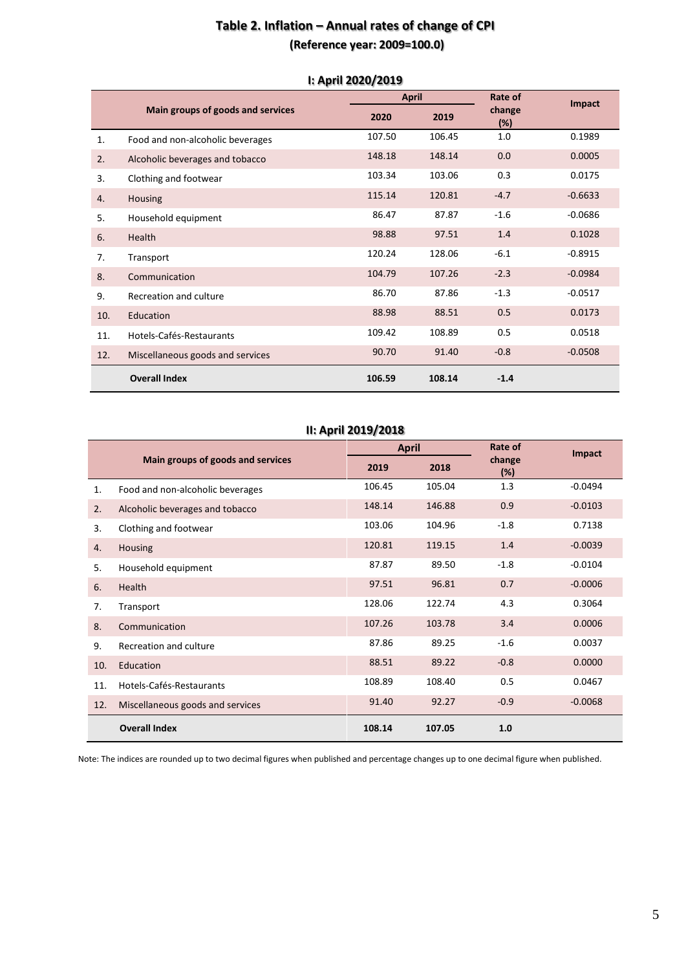### **Table 2. Inflation – Annual rates of change of CPI (Reference year: 2009=100.0)**

|     |                                   |        | <b>April</b> |               | Impact    |
|-----|-----------------------------------|--------|--------------|---------------|-----------|
|     | Main groups of goods and services | 2020   | 2019         | change<br>(%) |           |
| 1.  | Food and non-alcoholic beverages  | 107.50 | 106.45       | 1.0           | 0.1989    |
| 2.  | Alcoholic beverages and tobacco   | 148.18 | 148.14       | 0.0           | 0.0005    |
| 3.  | Clothing and footwear             | 103.34 | 103.06       | 0.3           | 0.0175    |
| 4.  | <b>Housing</b>                    | 115.14 | 120.81       | $-4.7$        | $-0.6633$ |
| 5.  | Household equipment               | 86.47  | 87.87        | $-1.6$        | $-0.0686$ |
| 6.  | Health                            | 98.88  | 97.51        | 1.4           | 0.1028    |
| 7.  | Transport                         | 120.24 | 128.06       | $-6.1$        | $-0.8915$ |
| 8.  | Communication                     | 104.79 | 107.26       | $-2.3$        | $-0.0984$ |
| 9.  | Recreation and culture            | 86.70  | 87.86        | $-1.3$        | $-0.0517$ |
| 10. | Education                         | 88.98  | 88.51        | 0.5           | 0.0173    |
| 11. | Hotels-Cafés-Restaurants          | 109.42 | 108.89       | 0.5           | 0.0518    |
| 12. | Miscellaneous goods and services  | 90.70  | 91.40        | $-0.8$        | $-0.0508$ |
|     | <b>Overall Index</b>              | 106.59 | 108.14       | $-1.4$        |           |

#### **Ι: April 2020/2019**

### **ΙΙ: April 2019/2018**

|     |                                   | <b>April</b> |        | Rate of       | Impact    |
|-----|-----------------------------------|--------------|--------|---------------|-----------|
|     | Main groups of goods and services | 2019         | 2018   | change<br>(%) |           |
| 1.  | Food and non-alcoholic beverages  | 106.45       | 105.04 | 1.3           | $-0.0494$ |
| 2.  | Alcoholic beverages and tobacco   | 148.14       | 146.88 | 0.9           | $-0.0103$ |
| 3.  | Clothing and footwear             | 103.06       | 104.96 | $-1.8$        | 0.7138    |
| 4.  | Housing                           | 120.81       | 119.15 | 1.4           | $-0.0039$ |
| 5.  | Household equipment               | 87.87        | 89.50  | $-1.8$        | $-0.0104$ |
| 6.  | Health                            | 97.51        | 96.81  | 0.7           | $-0.0006$ |
| 7.  | Transport                         | 128.06       | 122.74 | 4.3           | 0.3064    |
| 8.  | Communication                     | 107.26       | 103.78 | 3.4           | 0.0006    |
| 9.  | Recreation and culture            | 87.86        | 89.25  | $-1.6$        | 0.0037    |
| 10. | Education                         | 88.51        | 89.22  | $-0.8$        | 0.0000    |
| 11. | Hotels-Cafés-Restaurants          | 108.89       | 108.40 | 0.5           | 0.0467    |
| 12. | Miscellaneous goods and services  | 91.40        | 92.27  | $-0.9$        | $-0.0068$ |
|     | <b>Overall Index</b>              | 108.14       | 107.05 | 1.0           |           |

Note: The indices are rounded up to two decimal figures when published and percentage changes up to one decimal figure when published.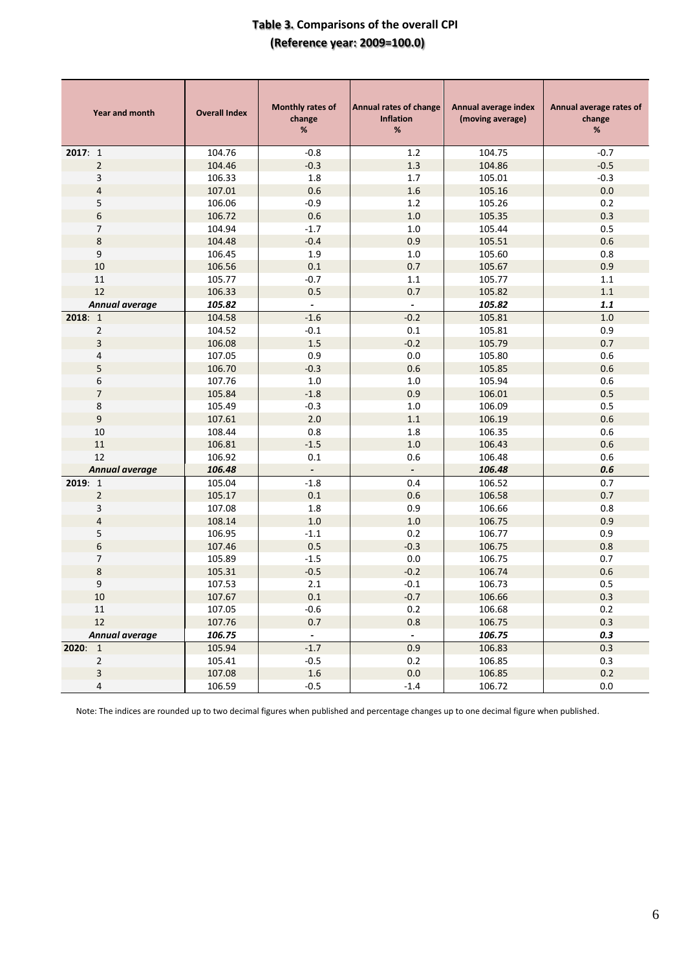### **Table 3. Comparisons of the overall CPI (Reference year: 2009=100.0)**

| <b>Year and month</b>    | <b>Overall Index</b> | <b>Monthly rates of</b><br>change<br>$\%$ | <b>Annual rates of change</b><br><b>Inflation</b><br>% | Annual average index<br>(moving average) | Annual average rates of<br>change<br>$\%$ |
|--------------------------|----------------------|-------------------------------------------|--------------------------------------------------------|------------------------------------------|-------------------------------------------|
| 2017:1                   | 104.76               | $-0.8$                                    | 1.2                                                    | 104.75                                   | $-0.7$                                    |
| $\overline{2}$           | 104.46               | $-0.3$                                    | 1.3                                                    | 104.86                                   | $-0.5$                                    |
| 3                        | 106.33               | 1.8                                       | 1.7                                                    | 105.01                                   | $-0.3$                                    |
| $\overline{4}$           | 107.01               | 0.6                                       | 1.6                                                    | 105.16                                   | 0.0                                       |
| 5                        | 106.06               | $-0.9$                                    | 1.2                                                    | 105.26                                   | 0.2                                       |
| $\boldsymbol{6}$         | 106.72               | 0.6                                       | 1.0                                                    | 105.35                                   | 0.3                                       |
| 7                        | 104.94               | $-1.7$                                    | 1.0                                                    | 105.44                                   | 0.5                                       |
| $\bf 8$                  | 104.48               | $-0.4$                                    | 0.9                                                    | 105.51                                   | 0.6                                       |
| 9                        | 106.45               | 1.9                                       | $1.0\,$                                                | 105.60                                   | 0.8                                       |
| 10                       | 106.56               | 0.1                                       | 0.7                                                    | 105.67                                   | 0.9                                       |
| 11                       | 105.77               | $-0.7$                                    | 1.1                                                    | 105.77                                   | 1.1                                       |
| 12                       | 106.33               | 0.5                                       | 0.7                                                    | 105.82                                   | $1.1\,$                                   |
| Annual average           | 105.82               | $\overline{\phantom{a}}$                  | $\blacksquare$                                         | 105.82                                   | 1.1                                       |
| 2018:1                   | 104.58               | $-1.6$                                    | $-0.2$                                                 | 105.81                                   | $1.0\,$                                   |
| $\overline{2}$           | 104.52               | $-0.1$                                    | $0.1\,$                                                | 105.81                                   | 0.9                                       |
| $\mathsf 3$              | 106.08               | 1.5                                       | $-0.2$                                                 | 105.79                                   | 0.7                                       |
| 4                        | 107.05               | 0.9                                       | 0.0                                                    | 105.80                                   | 0.6                                       |
| 5                        | 106.70               | $-0.3$                                    | 0.6                                                    | 105.85                                   | 0.6                                       |
| 6                        | 107.76               | 1.0                                       | 1.0                                                    | 105.94                                   | 0.6                                       |
| $\overline{\phantom{a}}$ | 105.84               | $-1.8$                                    | 0.9                                                    | 106.01                                   | 0.5                                       |
| 8                        | 105.49               | $-0.3$                                    | $1.0\,$                                                | 106.09                                   | 0.5                                       |
| 9                        | 107.61               | 2.0                                       | 1.1                                                    | 106.19                                   | 0.6                                       |
| 10                       | 108.44               | 0.8                                       | 1.8                                                    | 106.35                                   | 0.6                                       |
| 11                       | 106.81               | $-1.5$                                    | 1.0                                                    | 106.43                                   | 0.6                                       |
| 12                       | 106.92               | 0.1                                       | 0.6                                                    | 106.48                                   | 0.6                                       |
| <b>Annual average</b>    | 106.48               |                                           |                                                        | 106.48                                   | 0.6                                       |
| 2019: 1                  | 105.04               | $-1.8$                                    | 0.4                                                    | 106.52                                   | 0.7                                       |
| $\overline{2}$           | 105.17               | 0.1                                       | 0.6                                                    | 106.58                                   | 0.7                                       |
| 3                        | 107.08               | 1.8                                       | 0.9                                                    | 106.66                                   | 0.8                                       |
| $\overline{\mathbf{r}}$  | 108.14               | 1.0                                       | $1.0$                                                  | 106.75                                   | 0.9                                       |
| 5                        | 106.95               | $-1.1$                                    | 0.2                                                    | 106.77                                   | 0.9                                       |
| $\boldsymbol{6}$         | 107.46               | 0.5                                       | $-0.3$                                                 | 106.75                                   | 0.8                                       |
| $\overline{7}$           | 105.89               | $-1.5$                                    | $0.0\,$                                                | 106.75                                   | 0.7                                       |
| 8                        | 105.31               | $-0.5$                                    | $-0.2$                                                 | 106.74                                   | 0.6                                       |
| 9                        | 107.53               | 2.1                                       | $-0.1$                                                 | 106.73                                   | 0.5                                       |
| 10                       | 107.67               | $0.1\,$                                   | $-0.7$                                                 | 106.66                                   | 0.3                                       |
| 11                       | 107.05               | $-0.6$                                    | 0.2                                                    | 106.68                                   | 0.2                                       |
| $12\,$                   | 107.76               | 0.7                                       | 0.8                                                    | 106.75                                   | 0.3                                       |
| Annual average           | 106.75               | $\overline{\phantom{a}}$                  | $\overline{\phantom{a}}$                               | 106.75                                   | 0.3                                       |
| 2020: 1                  | 105.94               | $-1.7$                                    | 0.9                                                    | 106.83                                   | 0.3                                       |
| $\overline{2}$           | 105.41               | $-0.5$                                    | 0.2                                                    | 106.85                                   | 0.3                                       |
| 3                        | 107.08               | $1.6\,$                                   | 0.0                                                    | 106.85                                   | 0.2                                       |
| 4                        | 106.59               | $-0.5$                                    | $-1.4$                                                 | 106.72                                   | 0.0                                       |

Note: The indices are rounded up to two decimal figures when published and percentage changes up to one decimal figure when published.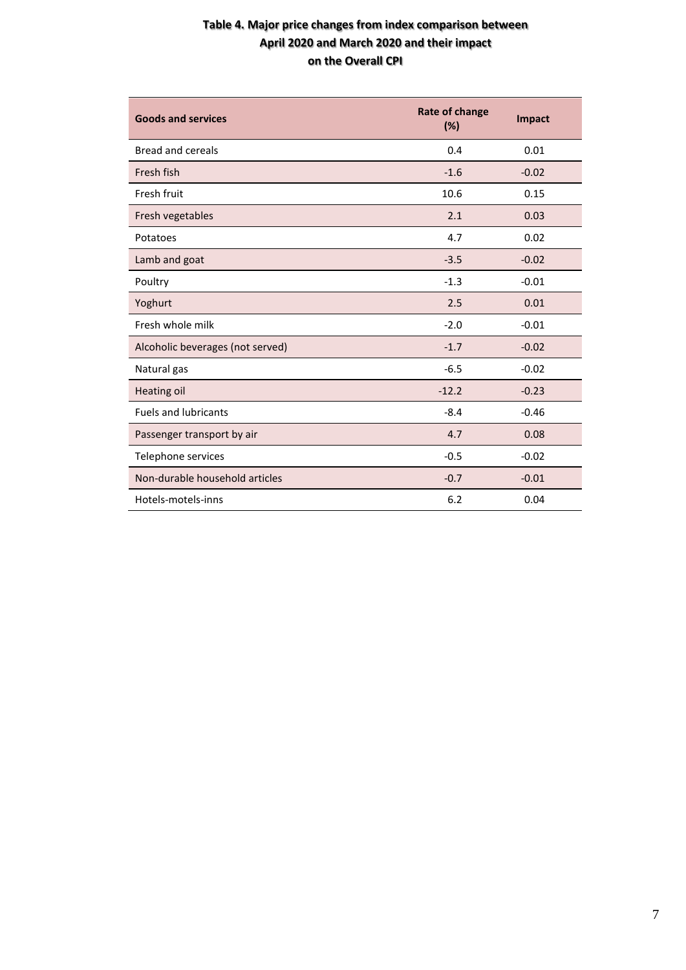### **Table 4. Major price changes from index comparison between April 2020 and March 2020 and their impact on the Overall CPI**

| <b>Goods and services</b>        | <b>Rate of change</b><br>(%) | <b>Impact</b> |
|----------------------------------|------------------------------|---------------|
| <b>Bread and cereals</b>         | 0.4                          | 0.01          |
| Fresh fish                       | $-1.6$                       | $-0.02$       |
| Fresh fruit                      | 10.6                         | 0.15          |
| Fresh vegetables                 | 2.1                          | 0.03          |
| Potatoes                         | 4.7                          | 0.02          |
| Lamb and goat                    | $-3.5$                       | $-0.02$       |
| Poultry                          | $-1.3$                       | $-0.01$       |
| Yoghurt                          | 2.5                          | 0.01          |
| Fresh whole milk                 | $-2.0$                       | $-0.01$       |
| Alcoholic beverages (not served) | $-1.7$                       | $-0.02$       |
| Natural gas                      | $-6.5$                       | $-0.02$       |
| Heating oil                      | $-12.2$                      | $-0.23$       |
| <b>Fuels and lubricants</b>      | $-8.4$                       | $-0.46$       |
| Passenger transport by air       | 4.7                          | 0.08          |
| Telephone services               | $-0.5$                       | $-0.02$       |
| Non-durable household articles   | $-0.7$                       | $-0.01$       |
| Hotels-motels-inns               | 6.2                          | 0.04          |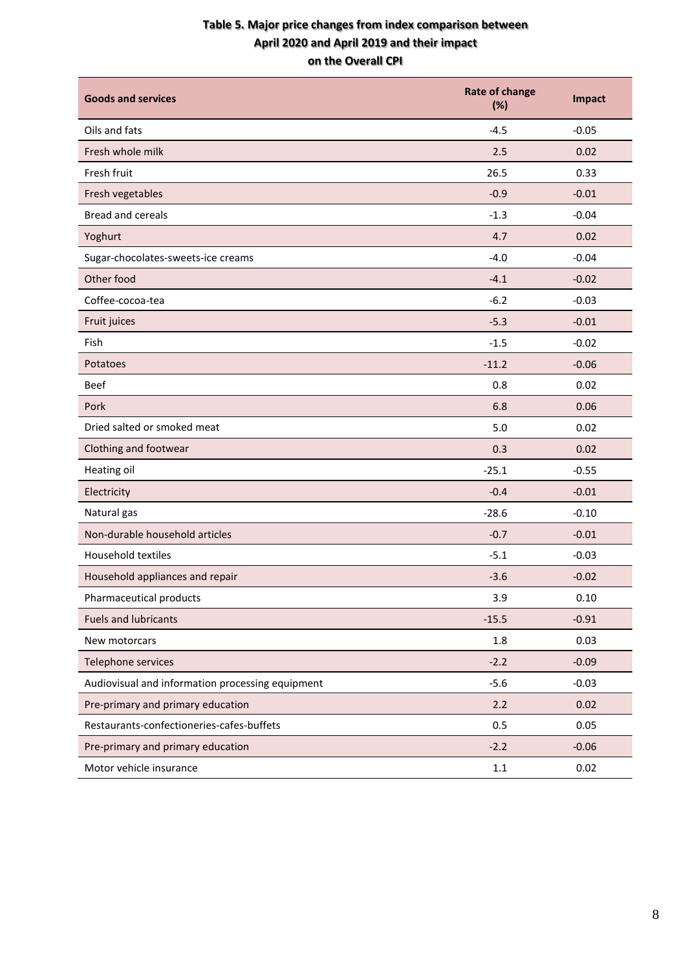### **Table 5. Major price changes from index comparison between April 2020 and April 2019 and their impact on the Overall CPI**

| <b>Goods and services</b>                        | <b>Rate of change</b><br>(%) | Impact  |
|--------------------------------------------------|------------------------------|---------|
| Oils and fats                                    | $-4.5$                       | $-0.05$ |
| Fresh whole milk                                 | 2.5                          | 0.02    |
| Fresh fruit                                      | 26.5                         | 0.33    |
| Fresh vegetables                                 | $-0.9$                       | $-0.01$ |
| <b>Bread and cereals</b>                         | $-1.3$                       | $-0.04$ |
| Yoghurt                                          | 4.7                          | 0.02    |
| Sugar-chocolates-sweets-ice creams               | $-4.0$                       | $-0.04$ |
| Other food                                       | $-4.1$                       | $-0.02$ |
| Coffee-cocoa-tea                                 | $-6.2$                       | $-0.03$ |
| Fruit juices                                     | $-5.3$                       | $-0.01$ |
| Fish                                             | $-1.5$                       | $-0.02$ |
| Potatoes                                         | $-11.2$                      | $-0.06$ |
| <b>Beef</b>                                      | 0.8                          | 0.02    |
| Pork                                             | 6.8                          | 0.06    |
| Dried salted or smoked meat                      | 5.0                          | 0.02    |
| Clothing and footwear                            | 0.3                          | 0.02    |
| Heating oil                                      | $-25.1$                      | $-0.55$ |
| Electricity                                      | $-0.4$                       | $-0.01$ |
| Natural gas                                      | $-28.6$                      | $-0.10$ |
| Non-durable household articles                   | $-0.7$                       | $-0.01$ |
| <b>Household textiles</b>                        | $-5.1$                       | $-0.03$ |
| Household appliances and repair                  | $-3.6$                       | $-0.02$ |
| Pharmaceutical products                          | 3.9                          | 0.10    |
| <b>Fuels and lubricants</b>                      | $-15.5$                      | $-0.91$ |
| New motorcars                                    | 1.8                          | 0.03    |
| Telephone services                               | $-2.2$                       | $-0.09$ |
| Audiovisual and information processing equipment | $-5.6$                       | $-0.03$ |
| Pre-primary and primary education                | 2.2                          | 0.02    |
| Restaurants-confectioneries-cafes-buffets        | 0.5                          | 0.05    |
| Pre-primary and primary education                | $-2.2$                       | $-0.06$ |
| Motor vehicle insurance                          | $1.1\,$                      | 0.02    |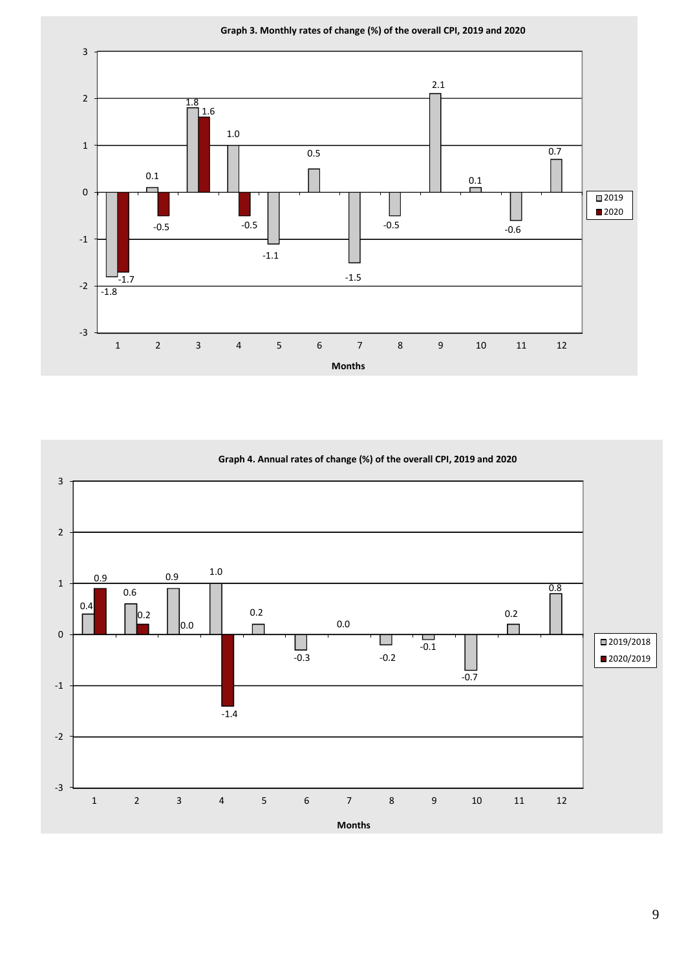

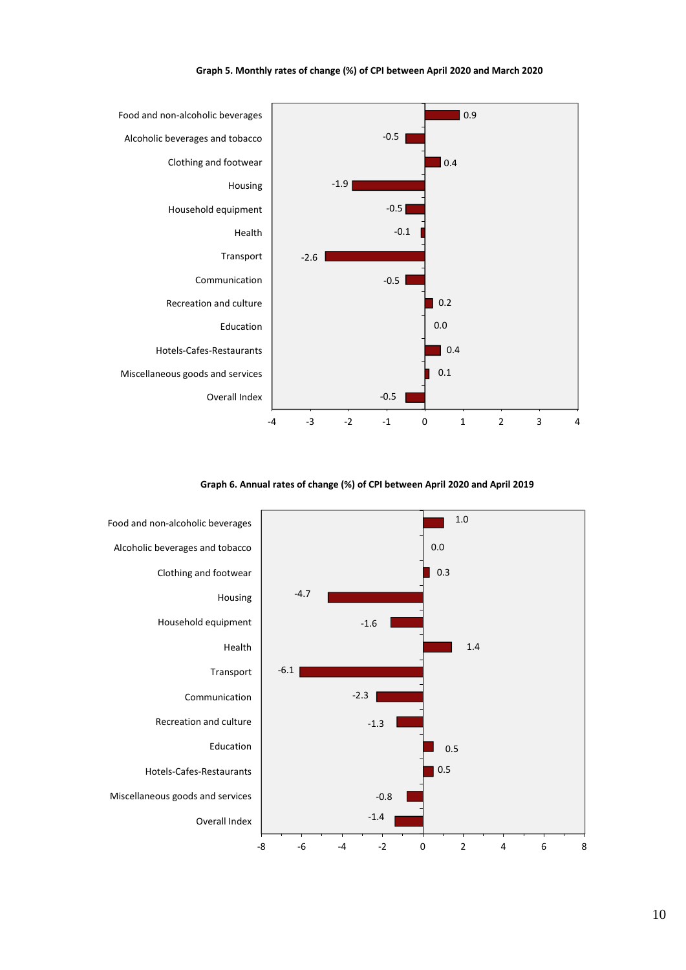

#### **Graph 5. Monthly rates of change (%) of CPI between April 2020 and March 2020**

**Graph 6. Annual rates of change (%) of CPI between April 2020 and April 2019**

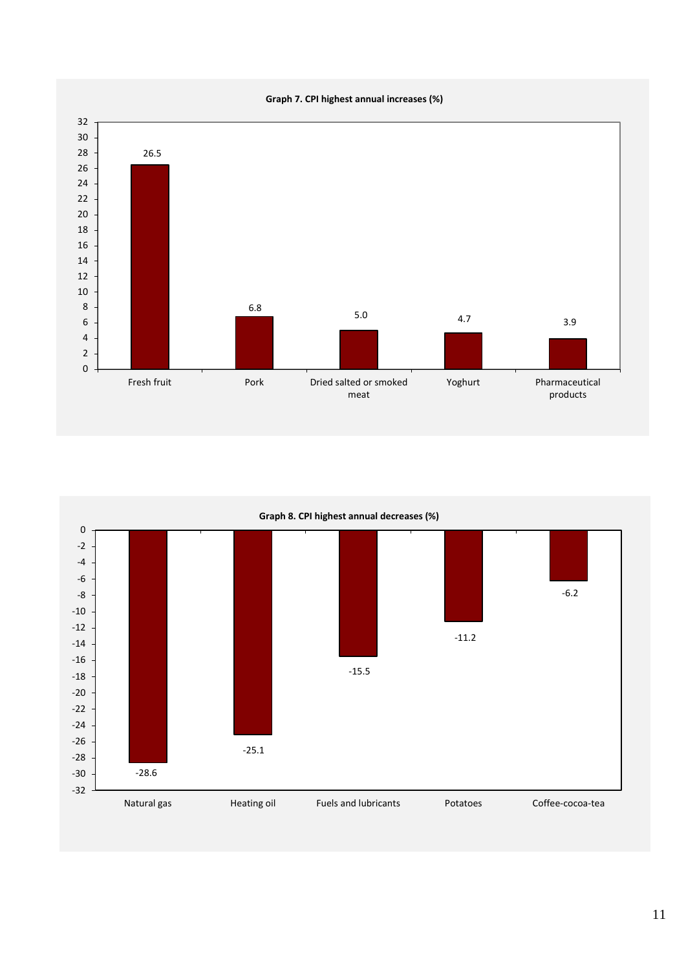**Graph 7. CPI highest annual increases (%)**



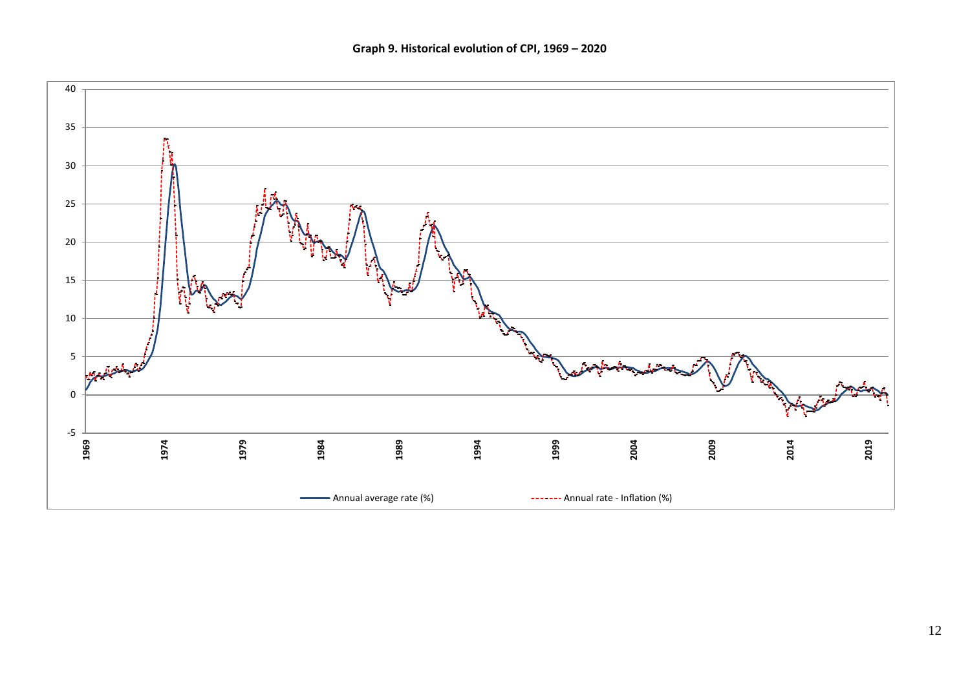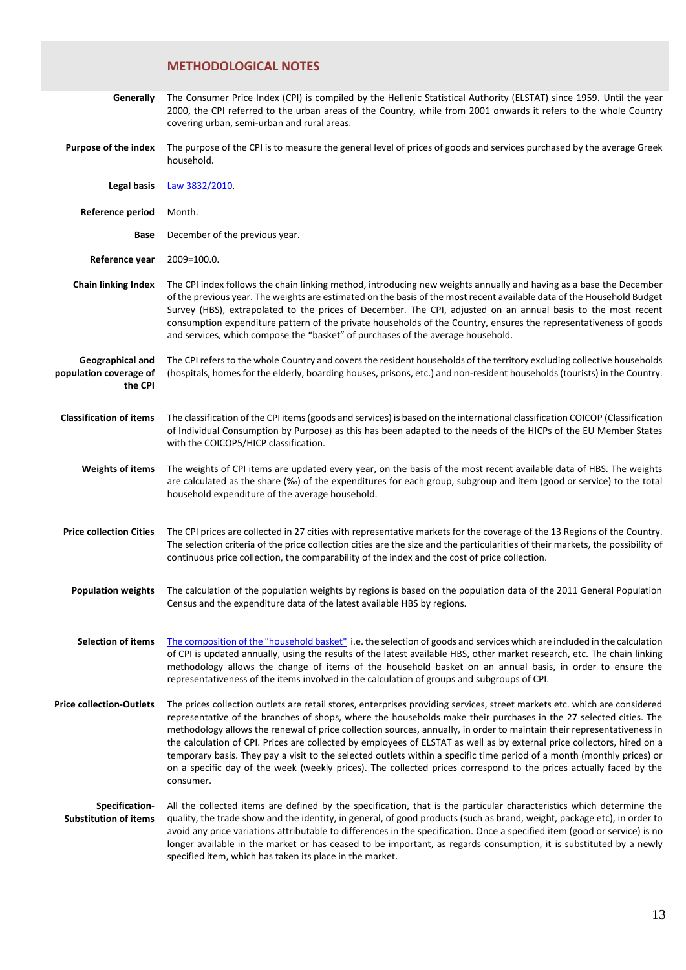### **METHODOLOGICAL NOTES**

| Generally                                             | The Consumer Price Index (CPI) is compiled by the Hellenic Statistical Authority (ELSTAT) since 1959. Until the year<br>2000, the CPI referred to the urban areas of the Country, while from 2001 onwards it refers to the whole Country<br>covering urban, semi-urban and rural areas.                                                                                                                                                                                                                                                                                                                                                                                                                                                                          |
|-------------------------------------------------------|------------------------------------------------------------------------------------------------------------------------------------------------------------------------------------------------------------------------------------------------------------------------------------------------------------------------------------------------------------------------------------------------------------------------------------------------------------------------------------------------------------------------------------------------------------------------------------------------------------------------------------------------------------------------------------------------------------------------------------------------------------------|
| <b>Purpose of the index</b>                           | The purpose of the CPI is to measure the general level of prices of goods and services purchased by the average Greek<br>household.                                                                                                                                                                                                                                                                                                                                                                                                                                                                                                                                                                                                                              |
| <b>Legal basis</b>                                    | Law 3832/2010.                                                                                                                                                                                                                                                                                                                                                                                                                                                                                                                                                                                                                                                                                                                                                   |
| <b>Reference period</b>                               | Month.                                                                                                                                                                                                                                                                                                                                                                                                                                                                                                                                                                                                                                                                                                                                                           |
| Base                                                  | December of the previous year.                                                                                                                                                                                                                                                                                                                                                                                                                                                                                                                                                                                                                                                                                                                                   |
| Reference year                                        | 2009=100.0.                                                                                                                                                                                                                                                                                                                                                                                                                                                                                                                                                                                                                                                                                                                                                      |
| <b>Chain linking Index</b>                            | The CPI index follows the chain linking method, introducing new weights annually and having as a base the December<br>of the previous year. The weights are estimated on the basis of the most recent available data of the Household Budget<br>Survey (HBS), extrapolated to the prices of December. The CPI, adjusted on an annual basis to the most recent<br>consumption expenditure pattern of the private households of the Country, ensures the representativeness of goods<br>and services, which compose the "basket" of purchases of the average household.                                                                                                                                                                                            |
| Geographical and<br>population coverage of<br>the CPI | The CPI refers to the whole Country and covers the resident households of the territory excluding collective households<br>(hospitals, homes for the elderly, boarding houses, prisons, etc.) and non-resident households (tourists) in the Country.                                                                                                                                                                                                                                                                                                                                                                                                                                                                                                             |
| <b>Classification of items</b>                        | The classification of the CPI items (goods and services) is based on the international classification COICOP (Classification<br>of Individual Consumption by Purpose) as this has been adapted to the needs of the HICPs of the EU Member States<br>with the COICOP5/HICP classification.                                                                                                                                                                                                                                                                                                                                                                                                                                                                        |
| <b>Weights of items</b>                               | The weights of CPI items are updated every year, on the basis of the most recent available data of HBS. The weights<br>are calculated as the share (%o) of the expenditures for each group, subgroup and item (good or service) to the total<br>household expenditure of the average household.                                                                                                                                                                                                                                                                                                                                                                                                                                                                  |
| <b>Price collection Cities</b>                        | The CPI prices are collected in 27 cities with representative markets for the coverage of the 13 Regions of the Country.<br>The selection criteria of the price collection cities are the size and the particularities of their markets, the possibility of<br>continuous price collection, the comparability of the index and the cost of price collection.                                                                                                                                                                                                                                                                                                                                                                                                     |
| <b>Population weights</b>                             | The calculation of the population weights by regions is based on the population data of the 2011 General Population<br>Census and the expenditure data of the latest available HBS by regions.                                                                                                                                                                                                                                                                                                                                                                                                                                                                                                                                                                   |
| <b>Selection of items</b>                             | The composition of the "household basket" i.e. the selection of goods and services which are included in the calculation<br>of CPI is updated annually, using the results of the latest available HBS, other market research, etc. The chain linking<br>methodology allows the change of items of the household basket on an annual basis, in order to ensure the<br>representativeness of the items involved in the calculation of groups and subgroups of CPI.                                                                                                                                                                                                                                                                                                 |
| <b>Price collection-Outlets</b>                       | The prices collection outlets are retail stores, enterprises providing services, street markets etc. which are considered<br>representative of the branches of shops, where the households make their purchases in the 27 selected cities. The<br>methodology allows the renewal of price collection sources, annually, in order to maintain their representativeness in<br>the calculation of CPI. Prices are collected by employees of ELSTAT as well as by external price collectors, hired on a<br>temporary basis. They pay a visit to the selected outlets within a specific time period of a month (monthly prices) or<br>on a specific day of the week (weekly prices). The collected prices correspond to the prices actually faced by the<br>consumer. |
| Specification-<br><b>Substitution of items</b>        | All the collected items are defined by the specification, that is the particular characteristics which determine the<br>quality, the trade show and the identity, in general, of good products (such as brand, weight, package etc), in order to<br>avoid any price variations attributable to differences in the specification. Once a specified item (good or service) is no<br>longer available in the market or has ceased to be important, as regards consumption, it is substituted by a newly<br>specified item, which has taken its place in the market.                                                                                                                                                                                                 |